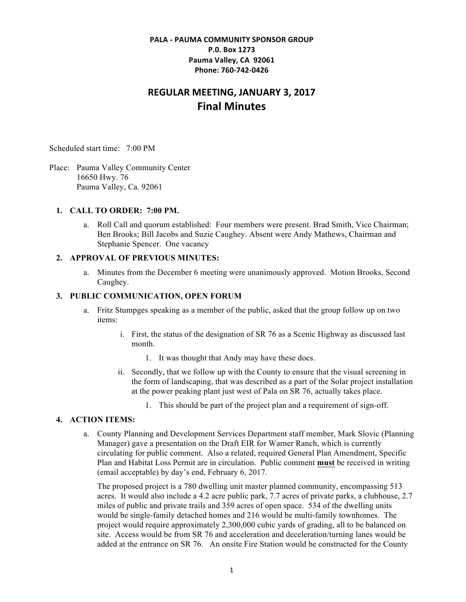## **PALA - PAUMA COMMUNITY SPONSOR GROUP P.0. Box 1273** Pauma Valley, CA 92061 **Phone: 760-742-0426**

# **REGULAR MEETING, JANUARY 3, 2017 Final Minutes**

Scheduled start time: 7:00 PM

Place: Pauma Valley Community Center 16650 Hwy. 76 Pauma Valley, Ca. 92061

#### **1. CALL TO ORDER: 7:00 PM.**

a. Roll Call and quorum established: Four members were present. Brad Smith, Vice Chairman; Ben Brooks; Bill Jacobs and Suzie Caughey. Absent were Andy Mathews, Chairman and Stephanie Spencer. One vacancy

#### **2. APPROVAL OF PREVIOUS MINUTES:**

a. Minutes from the December 6 meeting were unanimously approved. Motion Brooks, Second Caughey.

#### **3. PUBLIC COMMUNICATION, OPEN FORUM**

- a. Fritz Stumpges speaking as a member of the public, asked that the group follow up on two items:
	- i. First, the status of the designation of SR 76 as a Scenic Highway as discussed last month.
		- 1. It was thought that Andy may have these docs.
	- ii. Secondly, that we follow up with the County to ensure that the visual screening in the form of landscaping, that was described as a part of the Solar project installation at the power peaking plant just west of Pala on SR 76, actually takes place.
		- 1. This should be part of the project plan and a requirement of sign-off.

### **4. ACTION ITEMS:**

a. County Planning and Development Services Department staff member, Mark Slovic (Planning Manager) gave a presentation on the Draft EIR for Warner Ranch, which is currently circulating for public comment. Also a related, required General Plan Amendment, Specific Plan and Habitat Loss Permit are in circulation. Public comment **must** be received in writing (email acceptable) by day's end, February 6, 2017.

The proposed project is a 780 dwelling unit master planned community, encompassing 513 acres. It would also include a 4.2 acre public park, 7.7 acres of private parks, a clubhouse, 2.7 miles of public and private trails and 359 acres of open space. 534 of the dwelling units would be single-family detached homes and 216 would be multi-family townhomes. The project would require approximately 2,300,000 cubic yards of grading, all to be balanced on site. Access would be from SR 76 and acceleration and deceleration/turning lanes would be added at the entrance on SR 76. An onsite Fire Station would be constructed for the County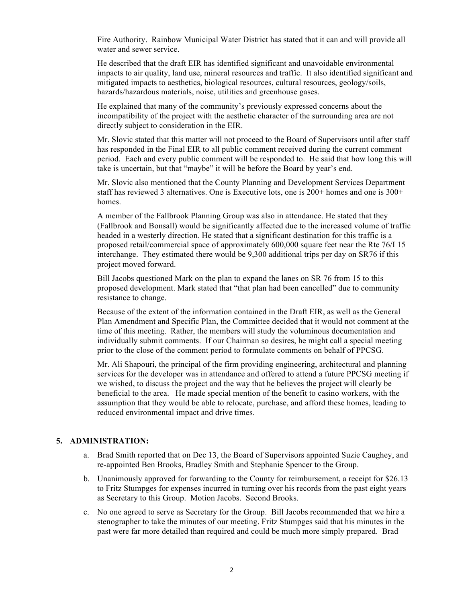Fire Authority. Rainbow Municipal Water District has stated that it can and will provide all water and sewer service.

He described that the draft EIR has identified significant and unavoidable environmental impacts to air quality, land use, mineral resources and traffic. It also identified significant and mitigated impacts to aesthetics, biological resources, cultural resources, geology/soils, hazards/hazardous materials, noise, utilities and greenhouse gases.

He explained that many of the community's previously expressed concerns about the incompatibility of the project with the aesthetic character of the surrounding area are not directly subject to consideration in the EIR.

Mr. Slovic stated that this matter will not proceed to the Board of Supervisors until after staff has responded in the Final EIR to all public comment received during the current comment period. Each and every public comment will be responded to. He said that how long this will take is uncertain, but that "maybe" it will be before the Board by year's end.

Mr. Slovic also mentioned that the County Planning and Development Services Department staff has reviewed 3 alternatives. One is Executive lots, one is 200+ homes and one is 300+ homes.

A member of the Fallbrook Planning Group was also in attendance. He stated that they (Fallbrook and Bonsall) would be significantly affected due to the increased volume of traffic headed in a westerly direction. He stated that a significant destination for this traffic is a proposed retail/commercial space of approximately 600,000 square feet near the Rte 76/I 15 interchange. They estimated there would be 9,300 additional trips per day on SR76 if this project moved forward.

Bill Jacobs questioned Mark on the plan to expand the lanes on SR 76 from 15 to this proposed development. Mark stated that "that plan had been cancelled" due to community resistance to change.

Because of the extent of the information contained in the Draft EIR, as well as the General Plan Amendment and Specific Plan, the Committee decided that it would not comment at the time of this meeting. Rather, the members will study the voluminous documentation and individually submit comments. If our Chairman so desires, he might call a special meeting prior to the close of the comment period to formulate comments on behalf of PPCSG.

Mr. Ali Shapouri, the principal of the firm providing engineering, architectural and planning services for the developer was in attendance and offered to attend a future PPCSG meeting if we wished, to discuss the project and the way that he believes the project will clearly be beneficial to the area. He made special mention of the benefit to casino workers, with the assumption that they would be able to relocate, purchase, and afford these homes, leading to reduced environmental impact and drive times.

#### **5. ADMINISTRATION:**

- a. Brad Smith reported that on Dec 13, the Board of Supervisors appointed Suzie Caughey, and re-appointed Ben Brooks, Bradley Smith and Stephanie Spencer to the Group.
- b. Unanimously approved for forwarding to the County for reimbursement, a receipt for \$26.13 to Fritz Stumpges for expenses incurred in turning over his records from the past eight years as Secretary to this Group. Motion Jacobs. Second Brooks.
- c. No one agreed to serve as Secretary for the Group. Bill Jacobs recommended that we hire a stenographer to take the minutes of our meeting. Fritz Stumpges said that his minutes in the past were far more detailed than required and could be much more simply prepared. Brad